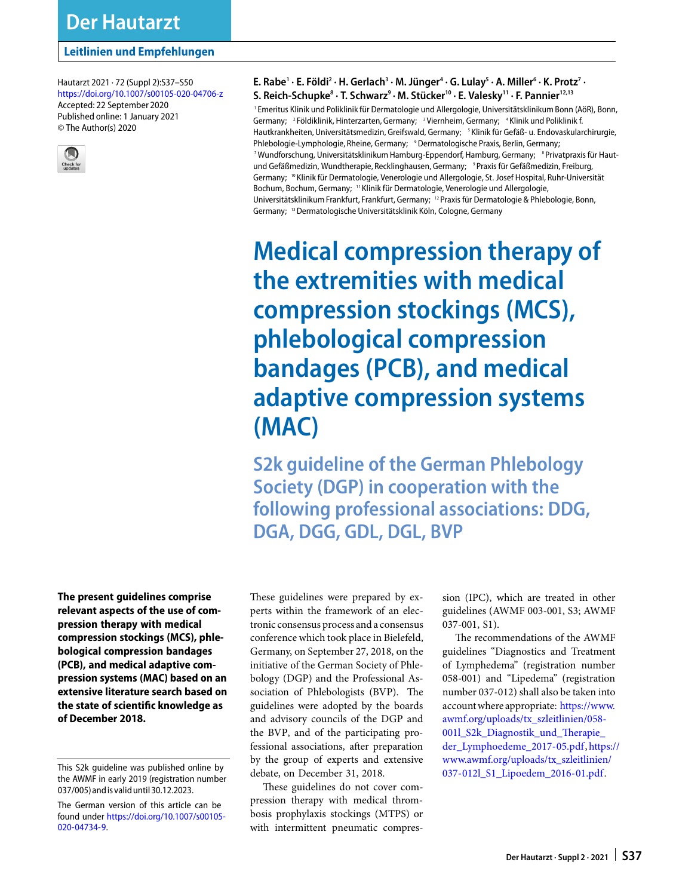Hautarzt 2021 · 72 (Suppl 2):S37–S50 <https://doi.org/10.1007/s00105-020-04706-z> Accepted: 22 September 2020 Published online: 1 January 2021 © The Author(s) 2020



**E. Rabe1 · E. Földi2 · H. Gerlach3 · M. Jünger4 · G. Lulay5 · A. Miller6 · K. Protz7 · S. Reich-Schupke8 · T. Schwarz9 · M. Stücker10 · E. Valesky11 · F. Pannier12,13**

1 Emeritus Klinik und Poliklinik für Dermatologie und Allergologie, Universitätsklinikum Bonn (AöR), Bonn, Germany; <sup>2</sup> Földiklinik, Hinterzarten, Germany; <sup>3</sup> Viernheim, Germany; <sup>4</sup> Klinik und Poliklinik f. Hautkrankheiten, Universitätsmedizin, Greifswald, Germany; <sup>5</sup> Klinik für Gefäß- u. Endovaskularchirurgie, Phlebologie-Lymphologie, Rheine, Germany; <sup>6</sup>Dermatologische Praxis, Berlin, Germany; <sup>7</sup> Wundforschung, Universitätsklinikum Hamburg-Eppendorf, Hamburg, Germany;  $\;$   $\,$  Privatpraxis für Hautund Gefäßmedizin, Wundtherapie, Recklinghausen, Germany; <sup>9</sup> Praxis für Gefäßmedizin, Freiburg, Germany; <sup>10</sup> Klinik für Dermatologie, Venerologie und Allergologie, St. Josef Hospital, Ruhr-Universität Bochum, Bochum, Germany; <sup>11</sup> Klinik für Dermatologie, Venerologie und Allergologie, Universitätsklinikum Frankfurt, Frankfurt, Germany; <sup>12</sup> Praxis für Dermatologie & Phlebologie, Bonn, Germany; 13Dermatologische Universitätsklinik Köln, Cologne, Germany

**Medical compression therapy of the extremities with medical compression stockings (MCS), phlebological compression bandages (PCB), and medical adaptive compression systems (MAC)**

**S2k guideline of the German Phlebology Society (DGP) in cooperation with the following professional associations: DDG, DGA, DGG, GDL, DGL, BVP**

**The present guidelines comprise relevant aspects of the use of compression therapy with medical compression stockings (MCS), phlebological compression bandages (PCB), and medical adaptive compression systems (MAC) based on an extensive literature search based on the state of scientific knowledge as of December 2018.**

These guidelines were prepared by experts within the framework of an electronic consensus process and a consensus conference which took place in Bielefeld, Germany, on September 27, 2018, on the initiative of the German Society of Phlebology (DGP) and the Professional Association of Phlebologists (BVP). The guidelines were adopted by the boards and advisory councils of the DGP and the BVP, and of the participating professional associations, after preparation by the group of experts and extensive debate, on December 31, 2018.

These guidelines do not cover compression therapy with medical thrombosis prophylaxis stockings (MTPS) or with intermittent pneumatic compression (IPC), which are treated in other guidelines (AWMF 003-001, S3; AWMF 037-001, S1).

The recommendations of the AWMF guidelines "Diagnostics and Treatment of Lymphedema" (registration number 058-001) and "Lipedema" (registration number 037-012) shall also be taken into accountwhere appropriate: [https://www.](https://www.awmf.org/uploads/tx_szleitlinien/058-001l_S2k_Diagnostik_und_Therapie_der_Lymphoedeme_2017-05.pdf) [awmf.org/uploads/tx\\_szleitlinien/058-](https://www.awmf.org/uploads/tx_szleitlinien/058-001l_S2k_Diagnostik_und_Therapie_der_Lymphoedeme_2017-05.pdf) 001l\_S2k\_Diagnostik\_und\_Therapie\_ [der\\_Lymphoedeme\\_2017-05.pdf,](https://www.awmf.org/uploads/tx_szleitlinien/058-001l_S2k_Diagnostik_und_Therapie_der_Lymphoedeme_2017-05.pdf) [https://](https://www.awmf.org/uploads/tx_szleitlinien/037-012l_S1_Lipoedem_2016-01.pdf) [www.awmf.org/uploads/tx\\_szleitlinien/](https://www.awmf.org/uploads/tx_szleitlinien/037-012l_S1_Lipoedem_2016-01.pdf) [037-012l\\_S1\\_Lipoedem\\_2016-01.pdf.](https://www.awmf.org/uploads/tx_szleitlinien/037-012l_S1_Lipoedem_2016-01.pdf)

This S2k guideline was published online by the AWMF in early 2019 (registration number 037/005)andis valid until30.12.2023.

The German version of this article can be found under [https://doi.org/10.1007/s00105-](https://doi.org/10.1007/s00105-020-04734-9) [020-04734-9.](https://doi.org/10.1007/s00105-020-04734-9)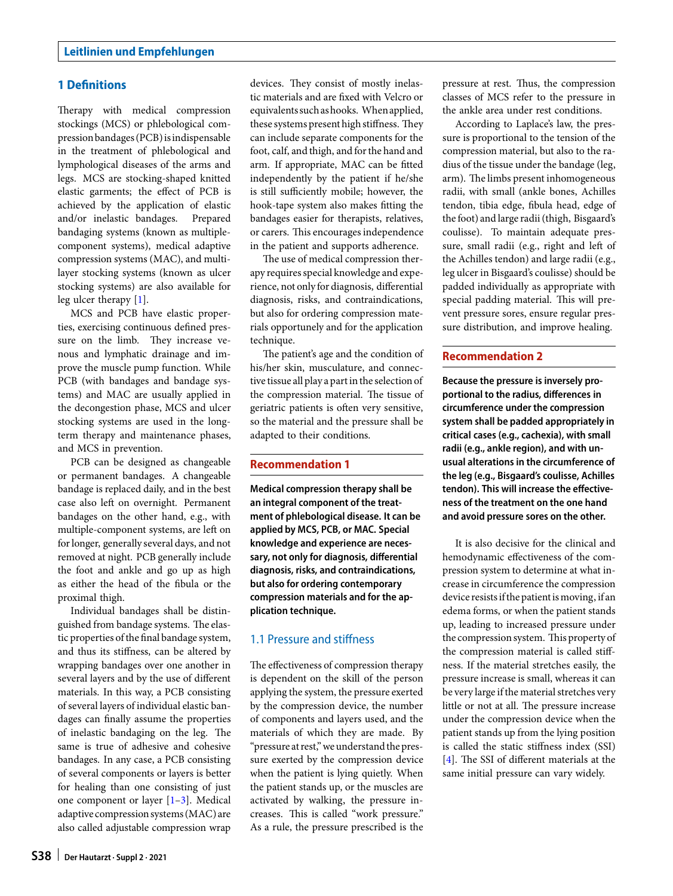# **1 Definitions**

Therapy with medical compression stockings (MCS) or phlebological compression bandages (PCB) is indispensable in the treatment of phlebological and lymphological diseases of the arms and legs. MCS are stocking-shaped knitted elastic garments; the effect of PCB is achieved by the application of elastic and/or inelastic bandages. Prepared bandaging systems (known as multiplecomponent systems), medical adaptive compression systems (MAC), and multilayer stocking systems (known as ulcer stocking systems) are also available for leg ulcer therapy [\[1\]](#page-11-0).

MCS and PCB have elastic properties, exercising continuous defined pressure on the limb. They increase venous and lymphatic drainage and improve the muscle pump function. While PCB (with bandages and bandage systems) and MAC are usually applied in the decongestion phase, MCS and ulcer stocking systems are used in the longterm therapy and maintenance phases, and MCS in prevention.

PCB can be designed as changeable or permanent bandages. A changeable bandage is replaced daily, and in the best case also left on overnight. Permanent bandages on the other hand, e.g., with multiple-component systems, are left on for longer, generally several days, and not removed at night. PCB generally include the foot and ankle and go up as high as either the head of the fibula or the proximal thigh.

Individual bandages shall be distinguished from bandage systems. The elastic properties of the final bandage system, and thus its stiffness, can be altered by wrapping bandages over one another in several layers and by the use of different materials. In this way, a PCB consisting of several layers of individual elastic bandages can finally assume the properties of inelastic bandaging on the leg. The same is true of adhesive and cohesive bandages. In any case, a PCB consisting of several components or layers is better for healing than one consisting of just one component or layer [\[1–](#page-11-0)[3\]](#page-11-1). Medical adaptive compression systems (MAC) are also called adjustable compression wrap

tic materials and are fixed with Velcro or equivalents suchashooks. Whenapplied, these systems present high stiffness. They can include separate components for the foot, calf, and thigh, and for the hand and arm. If appropriate, MAC can be fitted independently by the patient if he/she is still sufficiently mobile; however, the hook-tape system also makes fitting the bandages easier for therapists, relatives, or carers. This encourages independence in the patient and supports adherence. The use of medical compression ther-

apy requires special knowledge and experience, not only for diagnosis, differential diagnosis, risks, and contraindications, but also for ordering compression materials opportunely and for the application technique.

devices. They consist of mostly inelas-

The patient's age and the condition of his/her skin, musculature, and connective tissue all play a part in the selection of the compression material. The tissue of geriatric patients is ofen very sensitive, so the material and the pressure shall be adapted to their conditions.

#### **Recommendation 1**

**Medical compression therapy shall be an integral component of the treatment of phlebological disease. It can be applied by MCS, PCB, or MAC. Special knowledge and experience are necessary, not only for diagnosis, differential diagnosis, risks, and contraindications, but also for ordering contemporary compression materials and for the application technique.**

## 1.1 Pressure and stiffness

The effectiveness of compression therapy is dependent on the skill of the person applying the system, the pressure exerted by the compression device, the number of components and layers used, and the materials of which they are made. By "pressure at rest,"we understand the pressure exerted by the compression device when the patient is lying quietly. When the patient stands up, or the muscles are activated by walking, the pressure increases. This is called "work pressure." As a rule, the pressure prescribed is the pressure at rest. Thus, the compression classes of MCS refer to the pressure in the ankle area under rest conditions.

According to Laplace's law, the pressure is proportional to the tension of the compression material, but also to the radius of the tissue under the bandage (leg, arm). The limbs present inhomogeneous radii, with small (ankle bones, Achilles tendon, tibia edge, fibula head, edge of the foot) and large radii (thigh, Bisgaard's coulisse). To maintain adequate pressure, small radii (e.g., right and left of the Achilles tendon) and large radii (e.g., leg ulcer in Bisgaard's coulisse) should be padded individually as appropriate with special padding material. This will prevent pressure sores, ensure regular pressure distribution, and improve healing.

### **Recommendation 2**

**Because the pressure is inversely proportional to the radius, differences in circumference under the compression system shall be padded appropriately in critical cases (e.g., cachexia), with small radii (e.g., ankle region), and with unusual alterations in the circumference of the leg (e.g., Bisgaard's coulisse, Achilles tendon). This will increase the effectiveness of the treatment on the one hand and avoid pressure sores on the other.**

It is also decisive for the clinical and hemodynamic effectiveness of the compression system to determine at what increase in circumference the compression device resists if the patient is moving, if an edema forms, or when the patient stands up, leading to increased pressure under the compression system. This property of the compression material is called stiffness. If the material stretches easily, the pressure increase is small, whereas it can be very large if the material stretches very little or not at all. The pressure increase under the compression device when the patient stands up from the lying position is called the static stiffness index (SSI) [\[4\]](#page-11-2). The SSI of different materials at the same initial pressure can vary widely.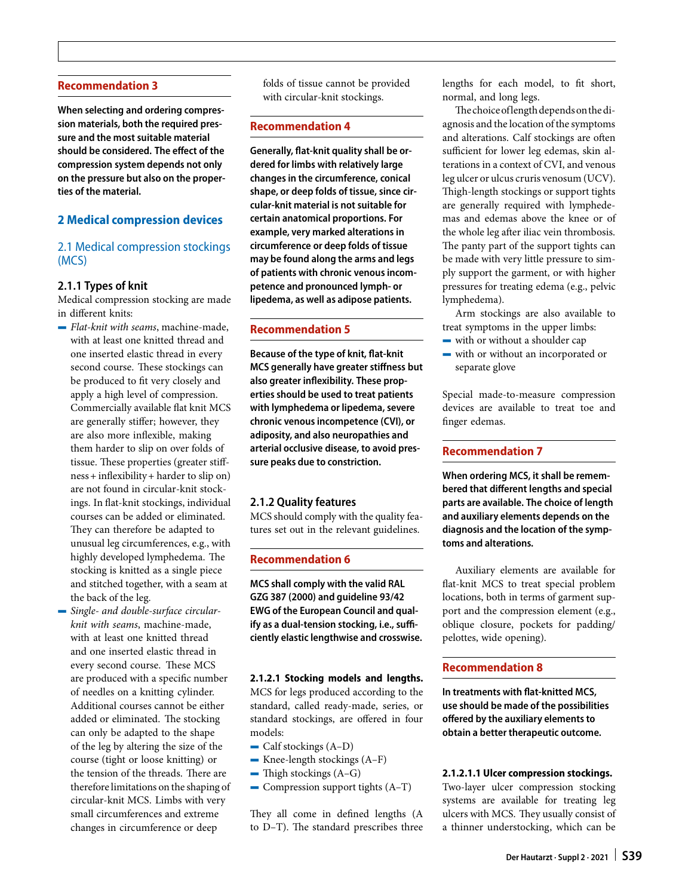### **Recommendation 3**

**When selecting and ordering compression materials, both the required pressure and the most suitable material should be considered. The effect of the compression system depends not only on the pressure but also on the properties of the material.**

# **2 Medical compression devices**

# 2.1 Medical compression stockings (MCS)

## **2.1.1 Types of knit**

Medical compression stocking are made in different knits:

- 4 *Flat-knit with seams*, machine-made, with at least one knitted thread and one inserted elastic thread in every second course. These stockings can be produced to fit very closely and apply a high level of compression. Commercially available flat knit MCS are generally stiffer; however, they are also more inflexible, making them harder to slip on over folds of tissue. These properties (greater stiffness + inflexibility + harder to slip on) are not found in circular-knit stockings. In flat-knit stockings, individual courses can be added or eliminated. They can therefore be adapted to unusual leg circumferences, e.g., with highly developed lymphedema. The stocking is knitted as a single piece and stitched together, with a seam at the back of the leg.
- 4 *Single- and double-surface circularknit with seams*, machine-made, with at least one knitted thread and one inserted elastic thread in every second course. These MCS are produced with a specific number of needles on a knitting cylinder. Additional courses cannot be either added or eliminated. The stocking can only be adapted to the shape of the leg by altering the size of the course (tight or loose knitting) or the tension of the threads. There are therefore limitations on the shaping of circular-knit MCS. Limbs with very small circumferences and extreme changes in circumference or deep

folds of tissue cannot be provided with circular-knit stockings.

### **Recommendation 4**

**Generally, flat-knit quality shall be ordered for limbs with relatively large changes in the circumference, conical shape, or deep folds of tissue, since circular-knit material is not suitable for certain anatomical proportions. For example, very marked alterations in circumference or deep folds of tissue may be found along the arms and legs of patients with chronic venous incompetence and pronounced lymph- or lipedema, as well as adipose patients.**

## **Recommendation 5**

**Because of the type of knit, flat-knit MCS generally have greater stiffness but also greater inflexibility. These properties should be used to treat patients with lymphedema or lipedema, severe chronic venous incompetence (CVI), or adiposity, and also neuropathies and arterial occlusive disease, to avoid pressure peaks due to constriction.**

## **2.1.2 Quality features**

MCS should comply with the quality features set out in the relevant guidelines.

### **Recommendation 6**

**MCS shall comply with the valid RAL GZG 387 (2000) and guideline 93/42 EWG of the European Council and qualify as a dual-tension stocking, i.e., sufficiently elastic lengthwise and crosswise.**

### **2.1.2.1 Stocking models and lengths.**

MCS for legs produced according to the standard, called ready-made, series, or standard stockings, are offered in four models:

- Calf stockings (A-D)
- $\overline{\phantom{a}}$  Knee-length stockings (A–F)
- $\blacksquare$  Thigh stockings (A–G)
- $\sim$  Compression support tights (A–T)

They all come in defined lengths (A to D-T). The standard prescribes three lengths for each model, to fit short, normal, and long legs.

The choice of length depends on the diagnosis and the location of the symptoms and alterations. Calf stockings are ofen sufficient for lower leg edemas, skin alterations in a context of CVI, and venous leg ulcer or ulcus cruris venosum (UCV). Thigh-length stockings or support tights are generally required with lymphedemas and edemas above the knee or of the whole leg afer iliac vein thrombosis. The panty part of the support tights can be made with very little pressure to simply support the garment, or with higher pressures for treating edema (e.g., pelvic lymphedema).

Arm stockings are also available to treat symptoms in the upper limbs:

- $-$  with or without a shoulder cap
- with or without an incorporated or separate glove

Special made-to-measure compression devices are available to treat toe and finger edemas.

### **Recommendation 7**

**When ordering MCS, it shall be remembered that different lengths and special parts are available. The choice of length and auxiliary elements depends on the diagnosis and the location of the symptoms and alterations.**

Auxiliary elements are available for flat-knit MCS to treat special problem locations, both in terms of garment support and the compression element (e.g., oblique closure, pockets for padding/ pelottes, wide opening).

### **Recommendation 8**

**In treatments with flat-knitted MCS, use should be made of the possibilities offered by the auxiliary elements to obtain a better therapeutic outcome.**

### **2.1.2.1.1 Ulcer compression stockings.**

Two-layer ulcer compression stocking systems are available for treating leg ulcers with MCS. They usually consist of a thinner understocking, which can be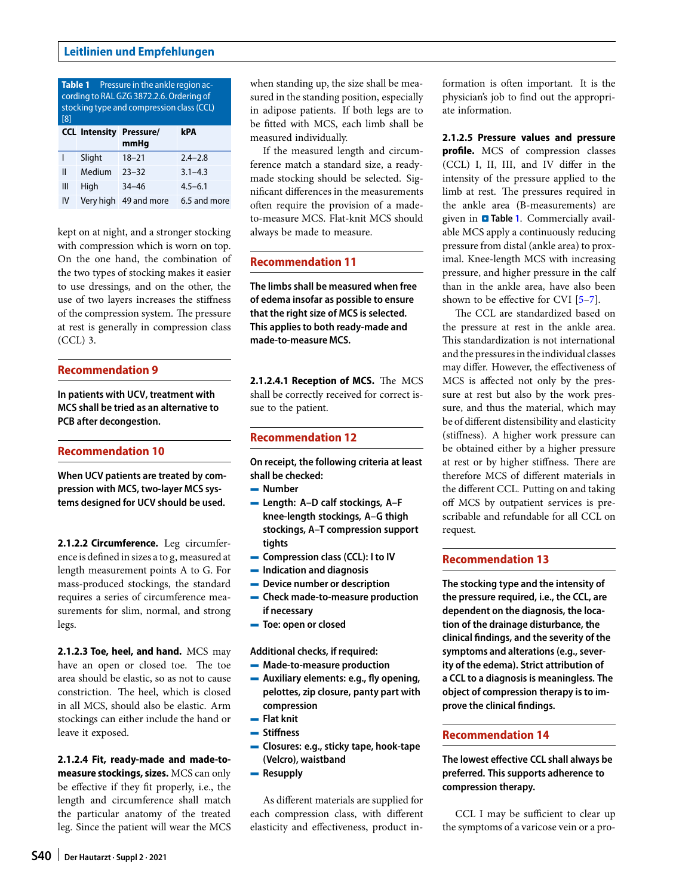<span id="page-3-0"></span>

| <b>Table 1</b> Pressure in the ankle region ac-<br>cording to RAL GZG 3872.2.6. Ordering of<br>stocking type and compression class (CCL)<br>[8] |           |                                        |              |
|-------------------------------------------------------------------------------------------------------------------------------------------------|-----------|----------------------------------------|--------------|
|                                                                                                                                                 |           | <b>CCL Intensity Pressure/</b><br>mmHq | kPA          |
|                                                                                                                                                 | Slight    | $18 - 21$                              | $2.4 - 2.8$  |
| Ш                                                                                                                                               | Medium    | $23 - 32$                              | $3.1 - 4.3$  |
| Ш                                                                                                                                               | High      | $34 - 46$                              | $4.5 - 6.1$  |
| IV                                                                                                                                              | Very high | 49 and more                            | 6.5 and more |

kept on at night, and a stronger stocking with compression which is worn on top. On the one hand, the combination of the two types of stocking makes it easier to use dressings, and on the other, the use of two layers increases the stiffness of the compression system. The pressure at rest is generally in compression class (CCL) 3.

#### **Recommendation 9**

**In patients with UCV, treatment with MCS shall be tried as an alternative to PCB after decongestion.**

### **Recommendation 10**

**When UCV patients are treated by compression with MCS, two-layer MCS systems designed for UCV should be used.**

**2.1.2.2 Circumference.** Leg circumference is defined in sizes a to g, measured at length measurement points A to G. For mass-produced stockings, the standard requires a series of circumference measurements for slim, normal, and strong legs.

**2.1.2.3 Toe, heel, and hand.** MCS may have an open or closed toe. The toe area should be elastic, so as not to cause constriction. The heel, which is closed in all MCS, should also be elastic. Arm stockings can either include the hand or leave it exposed.

**2.1.2.4 Fit, ready-made and made-tomeasure stockings, sizes.** MCS can only be effective if they fit properly, i.e., the length and circumference shall match the particular anatomy of the treated leg. Since the patient will wear the MCS

when standing up, the size shall be measured in the standing position, especially in adipose patients. If both legs are to be fitted with MCS, each limb shall be measured individually.

If the measured length and circumference match a standard size, a readymade stocking should be selected. Significant differences in the measurements ofen require the provision of a madeto-measure MCS. Flat-knit MCS should always be made to measure.

# **Recommendation 11**

**The limbs shall be measured when free of edema insofar as possible to ensure that the right size of MCS is selected. This applies to both ready-made and made-to-measure MCS.**

2.1.2.4.1 Reception of MCS. The MCS shall be correctly received for correct issue to the patient.

## **Recommendation 12**

**On receipt, the following criteria at least shall be checked:**

- 4 **Number**
- 4 **Length: A–D calf stockings, A–F knee-length stockings, A–G thigh stockings, A–T compression support tights**
- 4 **Compression class (CCL): I to IV**
- 4 **Indication and diagnosis**
- 4 **Device number or description**
- 4 **Check made-to-measure production if necessary**
- 4 **Toe: open or closed**

**Additional checks, if required:**

- 4 **Made-to-measure production**
- 4 **Auxiliary elements: e.g., fly opening, pelottes, zip closure, panty part with compression**
- 4 **Flat knit**
- 4 **Stiffness**
- 4 **Closures: e.g., sticky tape, hook-tape (Velcro), waistband**
- **-** Resupply

As different materials are supplied for each compression class, with different elasticity and effectiveness, product information is ofen important. It is the physician's job to find out the appropriate information.

**2.1.2.5 Pressure values and pressure profile.** MCS of compression classes (CCL) I, II, III, and IV differ in the intensity of the pressure applied to the limb at rest. The pressures required in the ankle area (B-measurements) are given in **a Table [1](#page-3-0)**. Commercially available MCS apply a continuously reducing pressure from distal (ankle area) to proximal. Knee-length MCS with increasing pressure, and higher pressure in the calf than in the ankle area, have also been shown to be effective for CVI [\[5](#page-11-4)[–7\]](#page-11-5).

The CCL are standardized based on the pressure at rest in the ankle area. This standardization is not international and the pressures in the individual classes may differ. However, the effectiveness of MCS is affected not only by the pressure at rest but also by the work pressure, and thus the material, which may be of different distensibility and elasticity (stiffness). A higher work pressure can be obtained either by a higher pressure at rest or by higher stiffness. There are therefore MCS of different materials in the different CCL. Putting on and taking off MCS by outpatient services is prescribable and refundable for all CCL on request.

## **Recommendation 13**

**The stocking type and the intensity of the pressure required, i.e., the CCL, are dependent on the diagnosis, the location of the drainage disturbance, the clinical findings, and the severity of the symptoms and alterations (e.g., severity of the edema). Strict attribution of a CCL to a diagnosis is meaningless. The object of compression therapy is to improve the clinical findings.**

## **Recommendation 14**

**The lowest effective CCL shall always be preferred. This supports adherence to compression therapy.**

CCL I may be sufficient to clear up the symptoms of a varicose vein or a pro-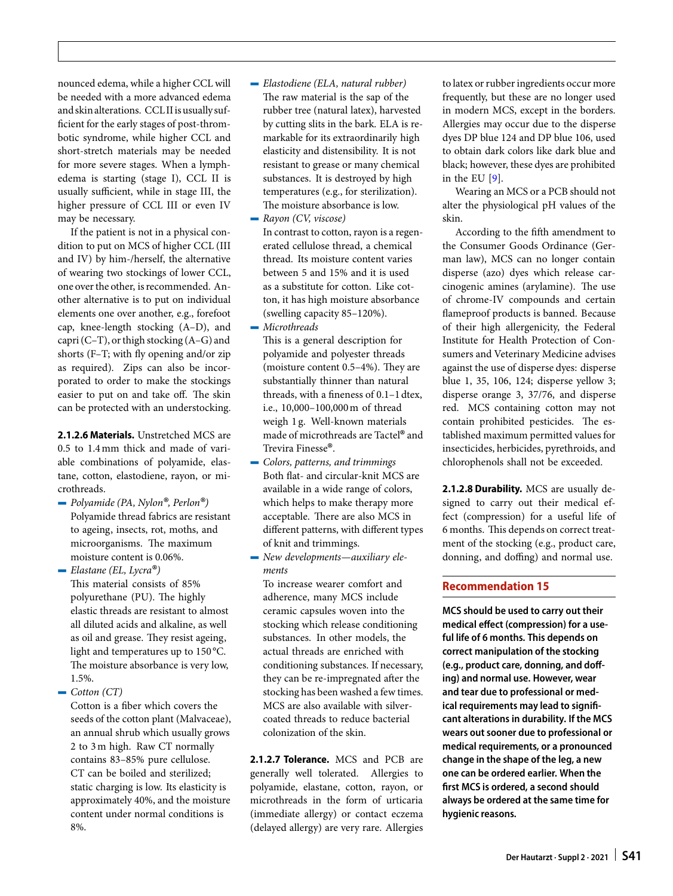nounced edema, while a higher CCL will be needed with a more advanced edema and skin alterations. CCLII is usually sufficient for the early stages of post-thrombotic syndrome, while higher CCL and short-stretch materials may be needed for more severe stages. When a lymphedema is starting (stage I), CCL II is usually sufficient, while in stage III, the higher pressure of CCL III or even IV may be necessary.

If the patient is not in a physical condition to put on MCS of higher CCL (III and IV) by him-/herself, the alternative of wearing two stockings of lower CCL, one over the other, is recommended. Another alternative is to put on individual elements one over another, e.g., forefoot cap, knee-length stocking (A–D), and capri (C–T), or thigh stocking (A–G) and shorts (F–T; with fly opening and/or zip as required). Zips can also be incorporated to order to make the stockings easier to put on and take off. The skin can be protected with an understocking.

**2.1.2.6 Materials.** Unstretched MCS are 0.5 to 1.4mm thick and made of variable combinations of polyamide, elastane, cotton, elastodiene, rayon, or microthreads.

4 *Polyamide (PA, Nylon®, Perlon®)* Polyamide thread fabrics are resistant to ageing, insects, rot, moths, and microorganisms. The maximum moisture content is 0.06%.

4 *Elastane (EL, Lycra®)* This material consists of 85% polyurethane (PU). The highly elastic threads are resistant to almost all diluted acids and alkaline, as well as oil and grease. They resist ageing, light and temperatures up to 150 °C. The moisture absorbance is very low, 1.5%.

 $\rightarrow$  *Cotton (CT)* 

Cotton is a fiber which covers the seeds of the cotton plant (Malvaceae), an annual shrub which usually grows 2 to 3m high. Raw CT normally contains 83–85% pure cellulose. CT can be boiled and sterilized; static charging is low. Its elasticity is approximately 40%, and the moisture content under normal conditions is 8%.

- 4 *Elastodiene (ELA, natural rubber)* The raw material is the sap of the rubber tree (natural latex), harvested by cutting slits in the bark. ELA is remarkable for its extraordinarily high elasticity and distensibility. It is not resistant to grease or many chemical substances. It is destroyed by high temperatures (e.g., for sterilization). The moisture absorbance is low.
- 4 *Rayon (CV, viscose)* In contrast to cotton, rayon is a regenerated cellulose thread, a chemical thread. Its moisture content varies between 5 and 15% and it is used as a substitute for cotton. Like cotton, it has high moisture absorbance (swelling capacity 85–120%).
- 4 *Microthreads*

This is a general description for polyamide and polyester threads (moisture content  $0.5-4%$ ). They are substantially thinner than natural threads, with a fineness of 0.1–1 dtex, i.e., 10,000–100,000m of thread weigh 1 g. Well-known materials made of microthreads are Tactel® and Trevira Finesse®.

- 4 *Colors, patterns, and trimmings* Both flat- and circular-knit MCS are available in a wide range of colors, which helps to make therapy more acceptable. There are also MCS in different patterns, with different types of knit and trimmings.
- 4 *New developments—auxiliary elements*

To increase wearer comfort and adherence, many MCS include ceramic capsules woven into the stocking which release conditioning substances. In other models, the actual threads are enriched with conditioning substances. If necessary, they can be re-impregnated after the stocking has been washed a few times. MCS are also available with silvercoated threads to reduce bacterial colonization of the skin.

**2.1.2.7 Tolerance.** MCS and PCB are generally well tolerated. Allergies to polyamide, elastane, cotton, rayon, or microthreads in the form of urticaria (immediate allergy) or contact eczema (delayed allergy) are very rare. Allergies to latex or rubber ingredients occur more frequently, but these are no longer used in modern MCS, except in the borders. Allergies may occur due to the disperse dyes DP blue 124 and DP blue 106, used to obtain dark colors like dark blue and black; however, these dyes are prohibited in the EU [\[9\]](#page-11-6).

Wearing an MCS or a PCB should not alter the physiological pH values of the skin.

According to the fifh amendment to the Consumer Goods Ordinance (German law), MCS can no longer contain disperse (azo) dyes which release carcinogenic amines (arylamine). The use of chrome-IV compounds and certain flameproof products is banned. Because of their high allergenicity, the Federal Institute for Health Protection of Consumers and Veterinary Medicine advises against the use of disperse dyes: disperse blue 1, 35, 106, 124; disperse yellow 3; disperse orange 3, 37/76, and disperse red. MCS containing cotton may not contain prohibited pesticides. The established maximum permitted values for insecticides, herbicides, pyrethroids, and chlorophenols shall not be exceeded.

**2.1.2.8 Durability.** MCS are usually designed to carry out their medical effect (compression) for a useful life of 6 months. This depends on correct treatment of the stocking (e.g., product care, donning, and doffing) and normal use.

# **Recommendation 15**

**MCS should be used to carry out their medical effect (compression) for a useful life of 6 months. This depends on correct manipulation of the stocking (e.g., product care, donning, and doffing) and normal use. However, wear and tear due to professional or medical requirements may lead to significant alterations in durability. If the MCS wears out sooner due to professional or medical requirements, or a pronounced change in the shape of the leg, a new one can be ordered earlier. When the first MCS is ordered, a second should always be ordered at the same time for hygienic reasons.**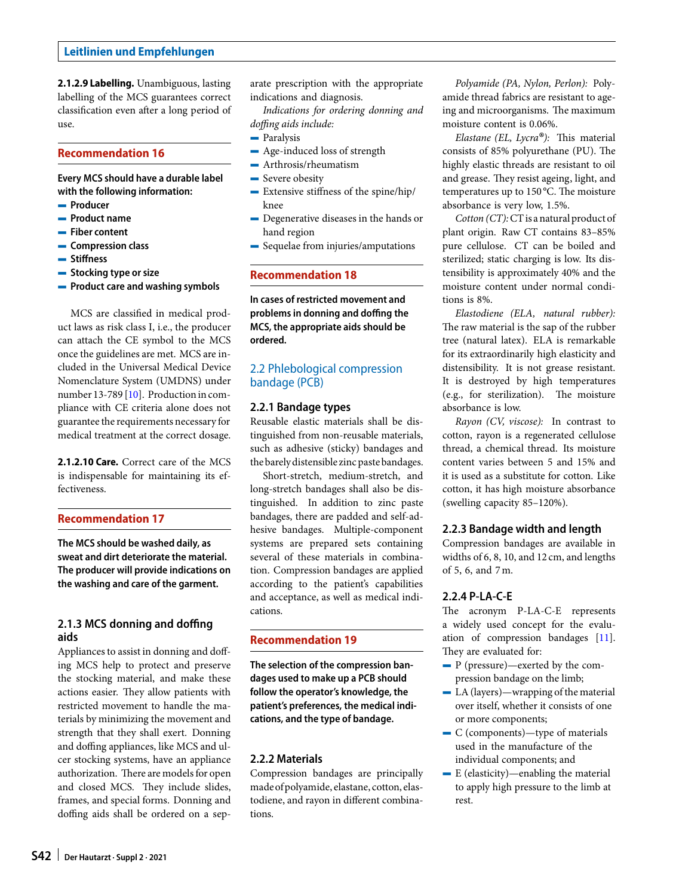**2.1.2.9 Labelling.** Unambiguous, lasting labelling of the MCS guarantees correct classification even afer a long period of use.

### **Recommendation 16**

**Every MCS should have a durable label with the following information:**

- 4 **Producer**
- 4 **Product name**
- 4 **Fiber content**
- 4 **Compression class**
- 4 **Stiffness**
- 4 **Stocking type or size**
- 4 **Product care and washing symbols**

MCS are classified in medical product laws as risk class I, i.e., the producer can attach the CE symbol to the MCS once the guidelines are met. MCS are included in the Universal Medical Device Nomenclature System (UMDNS) under number 13-789 [\[10\]](#page-11-7). Production in compliance with CE criteria alone does not guarantee the requirements necessaryfor medical treatment at the correct dosage.

**2.1.2.10 Care.** Correct care of the MCS is indispensable for maintaining its effectiveness.

## **Recommendation 17**

**The MCS should be washed daily, as sweat and dirt deteriorate the material. The producer will provide indications on the washing and care of the garment.**

# **2.1.3 MCS donning and doffing aids**

Appliances to assist in donning and doffing MCS help to protect and preserve the stocking material, and make these actions easier. They allow patients with restricted movement to handle the materials by minimizing the movement and strength that they shall exert. Donning and doffing appliances, like MCS and ulcer stocking systems, have an appliance authorization. There are models for open and closed MCS. They include slides, frames, and special forms. Donning and doffing aids shall be ordered on a separate prescription with the appropriate indications and diagnosis.

*Indications for ordering donning and doffing aids include:*

- $\blacksquare$  Paralysis
- Age-induced loss of strength
- $-A$ rthrosis/rheumatism
- Severe obesity
- $-$  Extensive stiffness of the spine/hip/ knee
- Degenerative diseases in the hands or hand region
- Sequelae from injuries/amputations

## **Recommendation 18**

**In cases of restricted movement and problems in donning and doffing the MCS, the appropriate aids should be ordered.**

# 2.2 Phlebological compression bandage (PCB)

### **2.2.1 Bandage types**

Reusable elastic materials shall be distinguished from non-reusable materials, such as adhesive (sticky) bandages and the barely distensible zinc paste bandages.

Short-stretch, medium-stretch, and long-stretch bandages shall also be distinguished. In addition to zinc paste bandages, there are padded and self-adhesive bandages. Multiple-component systems are prepared sets containing several of these materials in combination. Compression bandages are applied according to the patient's capabilities and acceptance, as well as medical indications.

## **Recommendation 19**

**The selection of the compression bandages used to make up a PCB should follow the operator's knowledge, the patient's preferences, the medical indications, and the type of bandage.**

### **2.2.2 Materials**

Compression bandages are principally made ofpolyamide, elastane, cotton, elastodiene, and rayon in different combinations.

*Polyamide (PA, Nylon, Perlon):* Polyamide thread fabrics are resistant to ageing and microorganisms. The maximum moisture content is 0.06%.

*Elastane (EL, Lycra®)*: This material consists of 85% polyurethane (PU). The highly elastic threads are resistant to oil and grease. They resist ageing, light, and temperatures up to 150 °C. The moisture absorbance is very low, 1.5%.

*Cotton (CT):*CTis a natural product of plant origin. Raw CT contains 83–85% pure cellulose. CT can be boiled and sterilized; static charging is low. Its distensibility is approximately 40% and the moisture content under normal conditions is 8%.

*Elastodiene (ELA, natural rubber):* The raw material is the sap of the rubber tree (natural latex). ELA is remarkable for its extraordinarily high elasticity and distensibility. It is not grease resistant. It is destroyed by high temperatures  $(e.g., for'')$  for sterilization). The moisture absorbance is low.

*Rayon (CV, viscose):* In contrast to cotton, rayon is a regenerated cellulose thread, a chemical thread. Its moisture content varies between 5 and 15% and it is used as a substitute for cotton. Like cotton, it has high moisture absorbance (swelling capacity 85–120%).

### **2.2.3 Bandage width and length**

Compression bandages are available in widths of 6, 8, 10, and 12 cm, and lengths of 5, 6, and 7m.

# **2.2.4 P-LA-C-E**

The acronym P-LA-C-E represents a widely used concept for the evaluation of compression bandages [\[11\]](#page-12-0). They are evaluated for:

- $P$  (pressure)—exerted by the compression bandage on the limb;
- $-$  LA (layers)—wrapping of the material over itself, whether it consists of one or more components;
- $\overline{\phantom{a}}$  C (components)—type of materials used in the manufacture of the individual components; and
- $-$  E (elasticity)—enabling the material to apply high pressure to the limb at rest.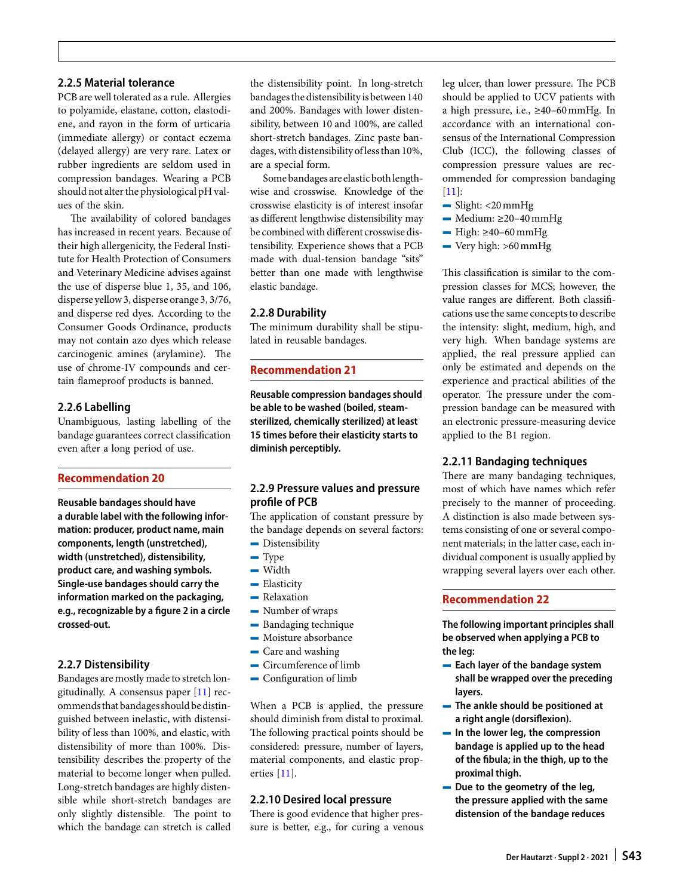# **2.2.5 Material tolerance**

PCB are well tolerated as a rule. Allergies to polyamide, elastane, cotton, elastodiene, and rayon in the form of urticaria (immediate allergy) or contact eczema (delayed allergy) are very rare. Latex or rubber ingredients are seldom used in compression bandages. Wearing a PCB should not alter the physiological pH values of the skin.

The availability of colored bandages has increased in recent years. Because of their high allergenicity, the Federal Institute for Health Protection of Consumers and Veterinary Medicine advises against the use of disperse blue 1, 35, and 106, disperse yellow 3, disperse orange 3, 3/76, and disperse red dyes. According to the Consumer Goods Ordinance, products may not contain azo dyes which release carcinogenic amines (arylamine). The use of chrome-IV compounds and certain flameproof products is banned.

### **2.2.6 Labelling**

Unambiguous, lasting labelling of the bandage guarantees correct classification even after a long period of use.

### **Recommendation 20**

**Reusable bandages should have a durable label with the following information: producer, product name, main components, length (unstretched), width (unstretched), distensibility, product care, and washing symbols. Single-use bandages should carry the information marked on the packaging, e.g., recognizable by a figure 2 in a circle crossed-out.**

### **2.2.7 Distensibility**

Bandages are mostly made to stretch longitudinally. A consensus paper  $[11]$  recommends that bandages should be distinguished between inelastic, with distensibility of less than 100%, and elastic, with distensibility of more than 100%. Distensibility describes the property of the material to become longer when pulled. Long-stretch bandages are highly distensible while short-stretch bandages are only slightly distensible. The point to which the bandage can stretch is called

the distensibility point. In long-stretch bandages the distensibility is between 140 and 200%. Bandages with lower distensibility, between 10 and 100%, are called short-stretch bandages. Zinc paste bandages, with distensibility ofless than 10%, are a special form.

Some bandages are elastic bothlengthwise and crosswise. Knowledge of the crosswise elasticity is of interest insofar as different lengthwise distensibility may be combined with different crosswise distensibility. Experience shows that a PCB made with dual-tension bandage "sits" better than one made with lengthwise elastic bandage.

### **2.2.8 Durability**

The minimum durability shall be stipulated in reusable bandages.

### **Recommendation 21**

**Reusable compression bandages should be able to be washed (boiled, steamsterilized, chemically sterilized) at least 15 times before their elasticity starts to diminish perceptibly.**

## **2.2.9 Pressure values and pressure profile of PCB**

The application of constant pressure by the bandage depends on several factors:  $\blacksquare$  Distensibility

- $-$  Type
- $\overline{\phantom{a}}$  Width
- $\blacksquare$  Elasticity
- $\blacksquare$  Relaxation
- Number of wraps
- Bandaging technique
- $-$  Moisture absorbance
- Care and washing
- $\overline{\phantom{a}}$  Circumference of limb
- Configuration of limb

When a PCB is applied, the pressure should diminish from distal to proximal. The following practical points should be considered: pressure, number of layers, material components, and elastic properties [\[11\]](#page-12-0).

### **2.2.10 Desired local pressure**

There is good evidence that higher pressure is better, e.g., for curing a venous leg ulcer, than lower pressure. The PCB should be applied to UCV patients with a high pressure, i.e., ≥40–60mmHg. In accordance with an international consensus of the International Compression Club (ICC), the following classes of compression pressure values are recommended for compression bandaging [\[11\]](#page-12-0):

- $\frac{1}{2}$  Slight: <20 mmHg
- $\blacksquare$  Medium: ≥20–40 mmHg
- $-$  High:  $\geq$ 40–60 mmHg
- $\rightarrow$  Very high: >60 mmHg

This classification is similar to the compression classes for MCS; however, the value ranges are different. Both classifications use the same concepts to describe the intensity: slight, medium, high, and very high. When bandage systems are applied, the real pressure applied can only be estimated and depends on the experience and practical abilities of the operator. The pressure under the compression bandage can be measured with an electronic pressure-measuring device applied to the B1 region.

#### **2.2.11 Bandaging techniques**

There are many bandaging techniques, most of which have names which refer precisely to the manner of proceeding. A distinction is also made between systems consisting of one or several component materials; in the latter case, each individual component is usually applied by wrapping several layers over each other.

### **Recommendation 22**

**The following important principles shall be observed when applying a PCB to the leg:**

- 4 **Each layer of the bandage system shall be wrapped over the preceding layers.**
- 4 **The ankle should be positioned at a right angle (dorsiflexion).**
- 4 **In the lower leg, the compression bandage is applied up to the head of the fibula; in the thigh, up to the proximal thigh.**
- 4 **Due to the geometry of the leg, the pressure applied with the same distension of the bandage reduces**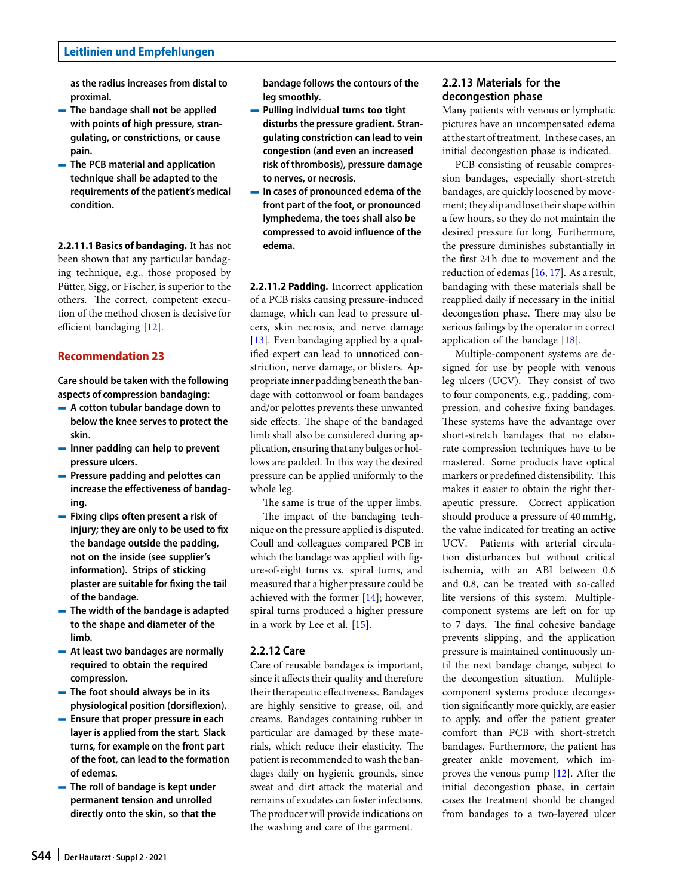**as the radius increases from distal to proximal.**

- 4 **The bandage shall not be applied with points of high pressure, strangulating, or constrictions, or cause pain.**
- 4 **The PCB material and application technique shall be adapted to the requirements of the patient's medical condition.**

**2.2.11.1 Basics of bandaging.** It has not been shown that any particular bandaging technique, e.g., those proposed by Pütter, Sigg, or Fischer, is superior to the others. The correct, competent execution of the method chosen is decisive for efficient bandaging [\[12\]](#page-12-1).

### **Recommendation 23**

**Care should be taken with the following aspects of compression bandaging:**

- 4 **A cotton tubular bandage down to below the knee serves to protect the skin.**
- 4 **Inner padding can help to prevent pressure ulcers.**
- 4 **Pressure padding and pelottes can increase the effectiveness of bandaging.**
- 4 **Fixing clips often present a risk of injury; they are only to be used to fix the bandage outside the padding, not on the inside (see supplier's information). Strips of sticking plaster are suitable for fixing the tail of the bandage.**
- 4 **The width of the bandage is adapted to the shape and diameter of the limb.**
- 4 **At least two bandages are normally required to obtain the required compression.**
- 4 **The foot should always be in its physiological position (dorsiflexion).**
- 4 **Ensure that proper pressure in each layer is applied from the start. Slack turns, for example on the front part of the foot, can lead to the formation of edemas.**
- 4 **The roll of bandage is kept under permanent tension and unrolled directly onto the skin, so that the**

**bandage follows the contours of the leg smoothly.**

- 4 **Pulling individual turns too tight disturbs the pressure gradient. Strangulating constriction can lead to vein congestion (and even an increased risk of thrombosis), pressure damage to nerves, or necrosis.**
- 4 **In cases of pronounced edema of the front part of the foot, or pronounced lymphedema, the toes shall also be compressed to avoid influence of the edema.**

**2.2.11.2 Padding.** Incorrect application of a PCB risks causing pressure-induced damage, which can lead to pressure ulcers, skin necrosis, and nerve damage [\[13\]](#page-12-2). Even bandaging applied by a qualified expert can lead to unnoticed constriction, nerve damage, or blisters. Appropriate inner padding beneath the bandage with cottonwool or foam bandages and/or pelottes prevents these unwanted side effects. The shape of the bandaged limb shall also be considered during application, ensuring that any bulges or hollows are padded. In this way the desired pressure can be applied uniformly to the whole leg.

The same is true of the upper limbs. The impact of the bandaging technique on the pressure applied is disputed. Coull and colleagues compared PCB in which the bandage was applied with figure-of-eight turns vs. spiral turns, and measured that a higher pressure could be achieved with the former [\[14\]](#page-12-3); however, spiral turns produced a higher pressure in a work by Lee et al. [\[15\]](#page-12-4).

#### **2.2.12 Care**

Care of reusable bandages is important, since it affects their quality and therefore their therapeutic effectiveness. Bandages are highly sensitive to grease, oil, and creams. Bandages containing rubber in particular are damaged by these materials, which reduce their elasticity. The patient is recommended to wash the bandages daily on hygienic grounds, since sweat and dirt attack the material and remains of exudates can foster infections. The producer will provide indications on the washing and care of the garment.

# **2.2.13 Materials for the decongestion phase**

Many patients with venous or lymphatic pictures have an uncompensated edema at the start of treatment. In these cases, an initial decongestion phase is indicated.

PCB consisting of reusable compression bandages, especially short-stretch bandages, are quickly loosened by movement; they slip andlose their shapewithin a few hours, so they do not maintain the desired pressure for long. Furthermore, the pressure diminishes substantially in the first 24 h due to movement and the reduction of edemas [\[16,](#page-12-5) [17\]](#page-12-6). As a result, bandaging with these materials shall be reapplied daily if necessary in the initial decongestion phase. There may also be serious failings by the operator in correct application of the bandage [\[18\]](#page-12-7).

Multiple-component systems are designed for use by people with venous leg ulcers (UCV). They consist of two to four components, e.g., padding, compression, and cohesive fixing bandages. These systems have the advantage over short-stretch bandages that no elaborate compression techniques have to be mastered. Some products have optical markers or predefined distensibility. This makes it easier to obtain the right therapeutic pressure. Correct application should produce a pressure of 40mmHg, the value indicated for treating an active UCV. Patients with arterial circulation disturbances but without critical ischemia, with an ABI between 0.6 and 0.8, can be treated with so-called lite versions of this system. Multiplecomponent systems are left on for up to 7 days. The final cohesive bandage prevents slipping, and the application pressure is maintained continuously until the next bandage change, subject to the decongestion situation. Multiplecomponent systems produce decongestion significantly more quickly, are easier to apply, and offer the patient greater comfort than PCB with short-stretch bandages. Furthermore, the patient has greater ankle movement, which improves the venous pump  $[12]$ . After the initial decongestion phase, in certain cases the treatment should be changed from bandages to a two-layered ulcer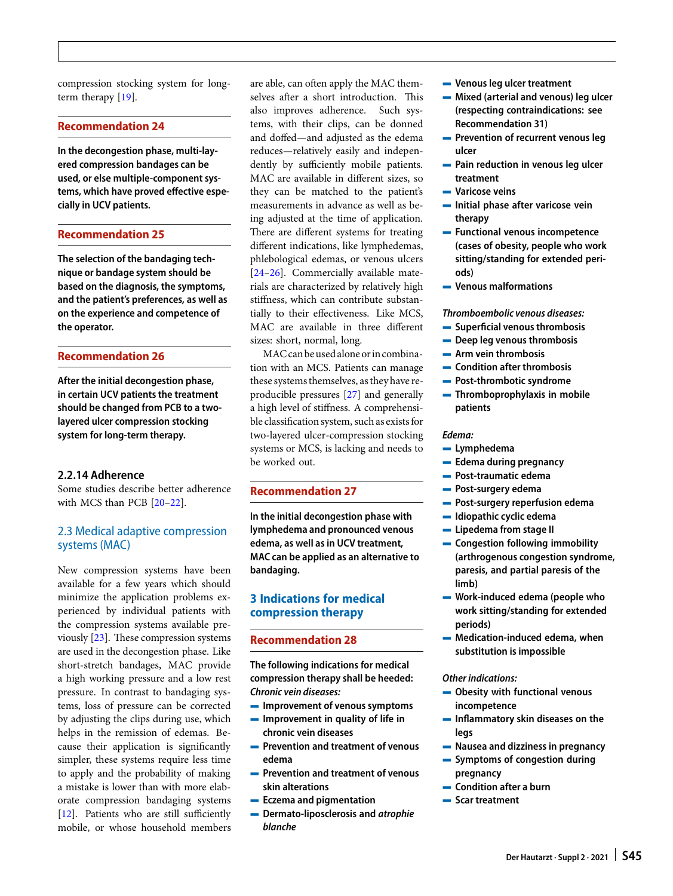compression stocking system for longterm therapy [\[19\]](#page-12-8).

## **Recommendation 24**

**In the decongestion phase, multi-layered compression bandages can be used, or else multiple-component systems, which have proved effective especially in UCV patients.**

#### **Recommendation 25**

**The selection of the bandaging technique or bandage system should be based on the diagnosis, the symptoms, and the patient's preferences, as well as on the experience and competence of the operator.**

### **Recommendation 26**

**After the initial decongestion phase, in certain UCV patients the treatment should be changed from PCB to a twolayered ulcer compression stocking system for long-term therapy.**

### **2.2.14 Adherence**

Some studies describe better adherence with MCS than PCB [\[20](#page-12-9)[–22\]](#page-12-10).

# 2.3 Medical adaptive compression systems (MAC)

New compression systems have been available for a few years which should minimize the application problems experienced by individual patients with the compression systems available previously  $[23]$ . These compression systems are used in the decongestion phase. Like short-stretch bandages, MAC provide a high working pressure and a low rest pressure. In contrast to bandaging systems, loss of pressure can be corrected by adjusting the clips during use, which helps in the remission of edemas. Because their application is significantly simpler, these systems require less time to apply and the probability of making a mistake is lower than with more elaborate compression bandaging systems [\[12\]](#page-12-1). Patients who are still sufficiently mobile, or whose household members are able, can often apply the MAC themselves after a short introduction. This also improves adherence. Such systems, with their clips, can be donned and doffed—and adjusted as the edema reduces—relatively easily and independently by sufficiently mobile patients. MAC are available in different sizes, so they can be matched to the patient's measurements in advance as well as being adjusted at the time of application. There are different systems for treating different indications, like lymphedemas, phlebological edemas, or venous ulcers [\[24](#page-12-12)[–26\]](#page-12-13). Commercially available materials are characterized by relatively high stiffness, which can contribute substantially to their effectiveness. Like MCS, MAC are available in three different sizes: short, normal, long.

MAC can be used alone or in combination with an MCS. Patients can manage these systems themselves, as they have reproducible pressures [\[27\]](#page-12-14) and generally a high level of stiffness. A comprehensible classification system, such as exists for two-layered ulcer-compression stocking systems or MCS, is lacking and needs to be worked out.

## **Recommendation 27**

**In the initial decongestion phase with lymphedema and pronounced venous edema, as well as in UCV treatment, MAC can be applied as an alternative to bandaging.**

## **3 Indications for medical compression therapy**

### **Recommendation 28**

**The following indications for medical compression therapy shall be heeded:** *Chronic vein diseases:*

- 4 **Improvement of venous symptoms**
- 4 **Improvement in quality of life in chronic vein diseases**
- 4 **Prevention and treatment of venous edema**
- 4 **Prevention and treatment of venous skin alterations**
- 4 **Eczema and pigmentation**
- 4 **Dermato-liposclerosis and** *atrophie blanche*
- 4 **Venous leg ulcer treatment**
- 4 **Mixed (arterial and venous) leg ulcer (respecting contraindications: see Recommendation 31)**
- 4 **Prevention of recurrent venous leg ulcer**
- 4 **Pain reduction in venous leg ulcer treatment**
- 4 **Varicose veins**
- 4 **Initial phase after varicose vein therapy**
- 4 **Functional venous incompetence (cases of obesity, people who work sitting/standing for extended periods)**
- 4 **Venous malformations**

#### *Thromboembolic venous diseases:*

- 4 **Superficial venous thrombosis**
- 4 **Deep leg venous thrombosis**
- 4 **Arm vein thrombosis**
- 4 **Condition after thrombosis**
- 4 **Post-thrombotic syndrome**
- 4 **Thromboprophylaxis in mobile patients**

#### *Edema:*

- 4 **Lymphedema**
- 4 **Edema during pregnancy**
- 4 **Post-traumatic edema**
- 4 **Post-surgery edema**
- 4 **Post-surgery reperfusion edema**
- 4 **Idiopathic cyclic edema**
- 4 **Lipedema from stage II**
- 4 **Congestion following immobility (arthrogenous congestion syndrome, paresis, and partial paresis of the limb)**
- 4 **Work-induced edema (people who work sitting/standing for extended periods)**
- 4 **Medication-induced edema, when substitution is impossible**

#### *Other indications:*

- 4 **Obesity with functional venous incompetence**
- 4 **Inflammatory skin diseases on the legs**
- 4 **Nausea and dizziness in pregnancy**
- 4 **Symptoms of congestion during pregnancy**
- 4 **Condition after a burn**
- 4 **Scar treatment**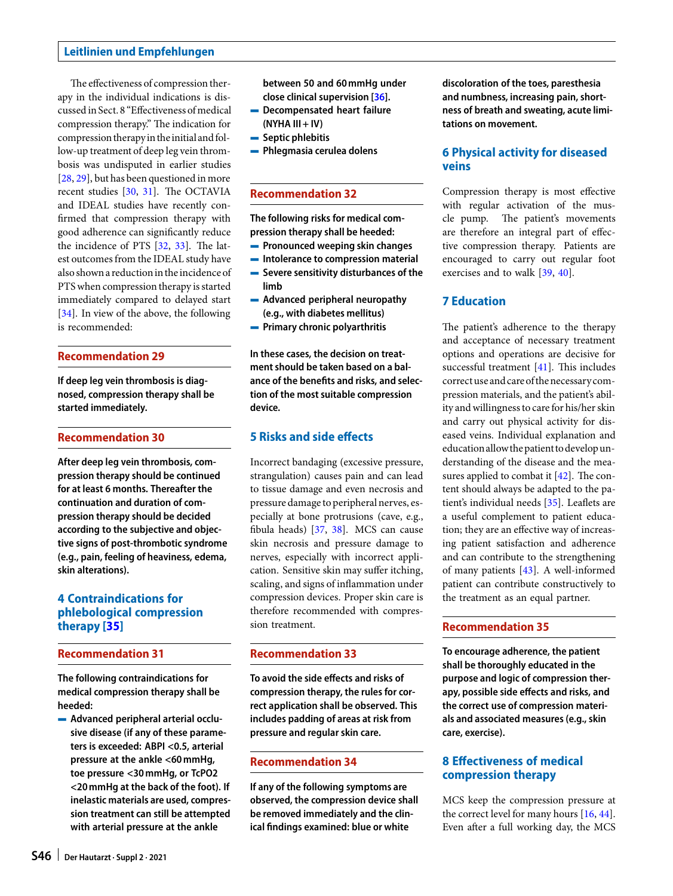The effectiveness of compression therapy in the individual indications is discussed in Sect. 8 "Effectiveness of medical compression therapy." The indication for compression therapy in the initial and follow-up treatment of deep leg vein thrombosis was undisputed in earlier studies [\[28,](#page-12-15) [29\]](#page-12-16), but has been questioned in more recent studies  $[30, 31]$  $[30, 31]$  $[30, 31]$ . The OCTAVIA and IDEAL studies have recently confirmed that compression therapy with good adherence can significantly reduce the incidence of PTS  $[32, 33]$  $[32, 33]$  $[32, 33]$ . The latest outcomes from the IDEAL study have also shown a reduction in the incidence of PTS when compression therapy is started immediately compared to delayed start [\[34\]](#page-12-21). In view of the above, the following is recommended:

### **Recommendation 29**

**If deep leg vein thrombosis is diagnosed, compression therapy shall be started immediately.**

### **Recommendation 30**

**After deep leg vein thrombosis, compression therapy should be continued for at least 6 months. Thereafter the continuation and duration of compression therapy should be decided according to the subjective and objective signs of post-thrombotic syndrome (e.g., pain, feeling of heaviness, edema, skin alterations).**

# **4 Contraindications for phlebological compression therapy [\[35\]](#page-12-22)**

### **Recommendation 31**

**The following contraindications for medical compression therapy shall be heeded:**

4 **Advanced peripheral arterial occlusive disease (if any of these parameters is exceeded: ABPI <0.5, arterial pressure at the ankle <60mmHg, toe pressure <30mmHg, or TcPO2 <20mmHg at the back of the foot). If inelastic materials are used, compression treatment can still be attempted with arterial pressure at the ankle**

**between 50 and 60mmHg under close clinical supervision [\[36\]](#page-12-23).**

- 4 **Decompensated heart failure (NYHA III + IV)**
- 4 **Septic phlebitis**
- 4 **Phlegmasia cerulea dolens**

## **Recommendation 32**

**The following risks for medical compression therapy shall be heeded:**

- 4 **Pronounced weeping skin changes**
- 4 **Intolerance to compression material**
- 4 **Severe sensitivity disturbances of the limb**
- 4 **Advanced peripheral neuropathy (e.g., with diabetes mellitus)**
- 4 **Primary chronic polyarthritis**

**In these cases, the decision on treatment should be taken based on a balance of the benefits and risks, and selection of the most suitable compression device.**

# **5 Risks and side effects**

Incorrect bandaging (excessive pressure, strangulation) causes pain and can lead to tissue damage and even necrosis and pressure damage to peripheral nerves, especially at bone protrusions (cave, e.g., fibula heads) [\[37,](#page-12-24) [38\]](#page-12-25). MCS can cause skin necrosis and pressure damage to nerves, especially with incorrect application. Sensitive skin may suffer itching, scaling, and signs of inflammation under compression devices. Proper skin care is therefore recommended with compression treatment.

## **Recommendation 33**

**To avoid the side effects and risks of compression therapy, the rules for correct application shall be observed. This includes padding of areas at risk from pressure and regular skin care.**

## **Recommendation 34**

**If any of the following symptoms are observed, the compression device shall be removed immediately and the clinical findings examined: blue or white**

**discoloration of the toes, paresthesia and numbness, increasing pain, shortness of breath and sweating, acute limitations on movement.**

# **6 Physical activity for diseased veins**

Compression therapy is most effective with regular activation of the muscle pump. The patient's movements are therefore an integral part of effective compression therapy. Patients are encouraged to carry out regular foot exercises and to walk [\[39,](#page-12-26) [40\]](#page-12-27).

## **7 Education**

The patient's adherence to the therapy and acceptance of necessary treatment options and operations are decisive for successful treatment [\[41\]](#page-12-28). This includes correct use and care of the necessary compression materials, and the patient's ability and willingness to care for his/her skin and carry out physical activity for diseased veins. Individual explanation and educationallow the patient todevelop understanding of the disease and the measures applied to combat it  $[42]$ . The content should always be adapted to the patient's individual needs [\[35\]](#page-12-22). Leaflets are a useful complement to patient education; they are an effective way of increasing patient satisfaction and adherence and can contribute to the strengthening of many patients [\[43\]](#page-12-30). A well-informed patient can contribute constructively to the treatment as an equal partner.

## **Recommendation 35**

**To encourage adherence, the patient shall be thoroughly educated in the purpose and logic of compression therapy, possible side effects and risks, and the correct use of compression materials and associated measures (e.g., skin care, exercise).**

# **8 Effectiveness of medical compression therapy**

MCS keep the compression pressure at the correct level for many hours [\[16,](#page-12-5) [44\]](#page-12-31). Even after a full working day, the MCS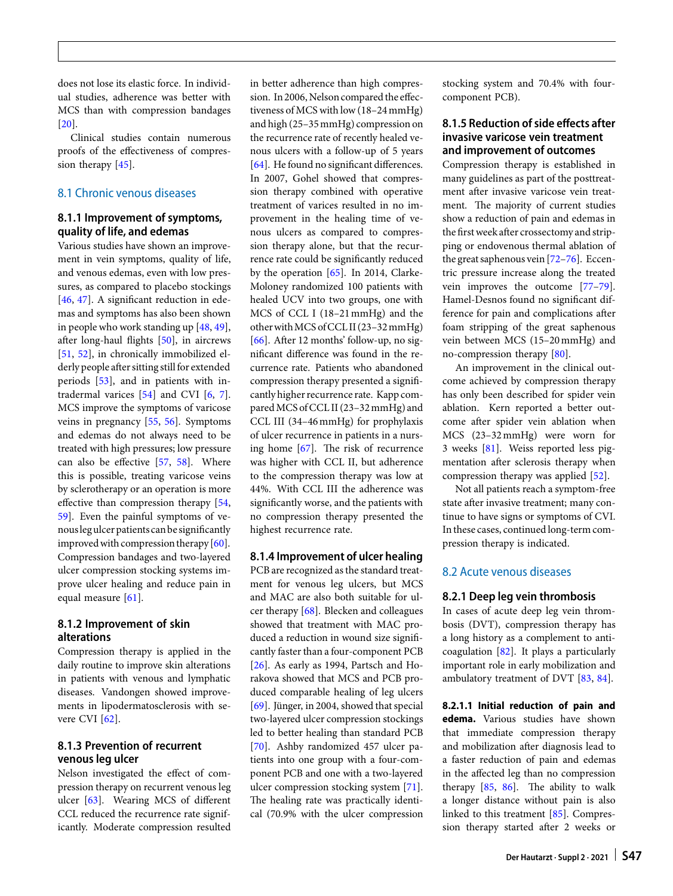does not lose its elastic force. In individual studies, adherence was better with MCS than with compression bandages [\[20\]](#page-12-9).

Clinical studies contain numerous proofs of the effectiveness of compres-sion therapy [\[45\]](#page-12-32).

# 8.1 Chronic venous diseases

# **8.1.1 Improvement of symptoms, quality of life, and edemas**

Various studies have shown an improvement in vein symptoms, quality of life, and venous edemas, even with low pressures, as compared to placebo stockings [\[46,](#page-12-33) [47\]](#page-12-34). A significant reduction in edemas and symptoms has also been shown in people who work standing up [\[48,](#page-12-35) [49\]](#page-12-36), afer long-haul flights [\[50\]](#page-12-37), in aircrews [\[51,](#page-12-38) [52\]](#page-12-39), in chronically immobilized elderly people after sitting still for extended periods [\[53\]](#page-12-40), and in patients with intradermal varices  $[54]$  and CVI  $[6, 7]$  $[6, 7]$  $[6, 7]$ . MCS improve the symptoms of varicose veins in pregnancy [\[55,](#page-12-42) [56\]](#page-12-43). Symptoms and edemas do not always need to be treated with high pressures; low pressure can also be effective [\[57,](#page-12-44) [58\]](#page-12-45). Where this is possible, treating varicose veins by sclerotherapy or an operation is more effective than compression therapy [\[54,](#page-12-41) [59\]](#page-12-46). Even the painful symptoms of venousleg ulcer patients can be significantly improved with compression therapy  $[60]$ . Compression bandages and two-layered ulcer compression stocking systems improve ulcer healing and reduce pain in equal measure [\[61\]](#page-13-0).

## **8.1.2 Improvement of skin alterations**

Compression therapy is applied in the daily routine to improve skin alterations in patients with venous and lymphatic diseases. Vandongen showed improvements in lipodermatosclerosis with severe CVI  $[62]$ .

## **8.1.3 Prevention of recurrent venous leg ulcer**

Nelson investigated the effect of compression therapy on recurrent venous leg ulcer [\[63\]](#page-13-2). Wearing MCS of different CCL reduced the recurrence rate significantly. Moderate compression resulted

in better adherence than high compression. In 2006, Nelson compared the effectiveness of MCS with low (18–24mmHg) and high (25–35mmHg) compression on the recurrence rate of recently healed venous ulcers with a follow-up of 5 years [\[64\]](#page-13-3). He found no significant differences. In 2007, Gohel showed that compression therapy combined with operative treatment of varices resulted in no improvement in the healing time of venous ulcers as compared to compression therapy alone, but that the recurrence rate could be significantly reduced by the operation [\[65\]](#page-13-4). In 2014, Clarke-Moloney randomized 100 patients with healed UCV into two groups, one with MCS of CCL I (18–21mmHg) and the otherwithMCS ofCCL II (23–32mmHg) [\[66\]](#page-13-5). After 12 months' follow-up, no significant difference was found in the recurrence rate. Patients who abandoned compression therapy presented a significantly higher recurrence rate. Kapp compared MCS of CCL II (23-32 mmHg) and CCL III (34–46mmHg) for prophylaxis of ulcer recurrence in patients in a nursing home  $[67]$ . The risk of recurrence was higher with CCL II, but adherence to the compression therapy was low at 44%. With CCL III the adherence was significantly worse, and the patients with no compression therapy presented the highest recurrence rate.

#### **8.1.4 Improvement of ulcer healing**

PCB are recognized as the standard treatment for venous leg ulcers, but MCS and MAC are also both suitable for ulcer therapy [\[68\]](#page-13-7). Blecken and colleagues showed that treatment with MAC produced a reduction in wound size significantly faster than a four-component PCB [\[26\]](#page-12-13). As early as 1994, Partsch and Horakova showed that MCS and PCB produced comparable healing of leg ulcers [\[69\]](#page-13-8). Jünger, in 2004, showed that special two-layered ulcer compression stockings led to better healing than standard PCB [\[70\]](#page-13-9). Ashby randomized 457 ulcer patients into one group with a four-component PCB and one with a two-layered ulcer compression stocking system [\[71\]](#page-13-10). The healing rate was practically identical (70.9% with the ulcer compression stocking system and 70.4% with fourcomponent PCB).

# **8.1.5 Reduction of side effects after invasive varicose vein treatment and improvement of outcomes**

Compression therapy is established in many guidelines as part of the posttreatment afer invasive varicose vein treatment. The majority of current studies show a reduction of pain and edemas in the first week after crossectomy and stripping or endovenous thermal ablation of the great saphenous vein [\[72](#page-13-11)[–76\]](#page-13-12). Eccentric pressure increase along the treated vein improves the outcome [\[77–](#page-13-13)[79\]](#page-13-14). Hamel-Desnos found no significant difference for pain and complications afer foam stripping of the great saphenous vein between MCS (15–20mmHg) and no-compression therapy [\[80\]](#page-13-15).

An improvement in the clinical outcome achieved by compression therapy has only been described for spider vein ablation. Kern reported a better outcome after spider vein ablation when MCS (23–32mmHg) were worn for 3 weeks [\[81\]](#page-13-16). Weiss reported less pigmentation after sclerosis therapy when compression therapy was applied [\[52\]](#page-12-39).

Not all patients reach a symptom-free state after invasive treatment; many continue to have signs or symptoms of CVI. In these cases, continued long-term compression therapy is indicated.

## 8.2 Acute venous diseases

#### **8.2.1 Deep leg vein thrombosis**

In cases of acute deep leg vein thrombosis (DVT), compression therapy has a long history as a complement to anticoagulation [\[82\]](#page-13-17). It plays a particularly important role in early mobilization and ambulatory treatment of DVT [\[83,](#page-13-18) [84\]](#page-13-19).

**8.2.1.1 Initial reduction of pain and edema.** Various studies have shown that immediate compression therapy and mobilization after diagnosis lead to a faster reduction of pain and edemas in the affected leg than no compression therapy  $[85, 86]$  $[85, 86]$  $[85, 86]$ . The ability to walk a longer distance without pain is also linked to this treatment [\[85\]](#page-13-20). Compression therapy started after 2 weeks or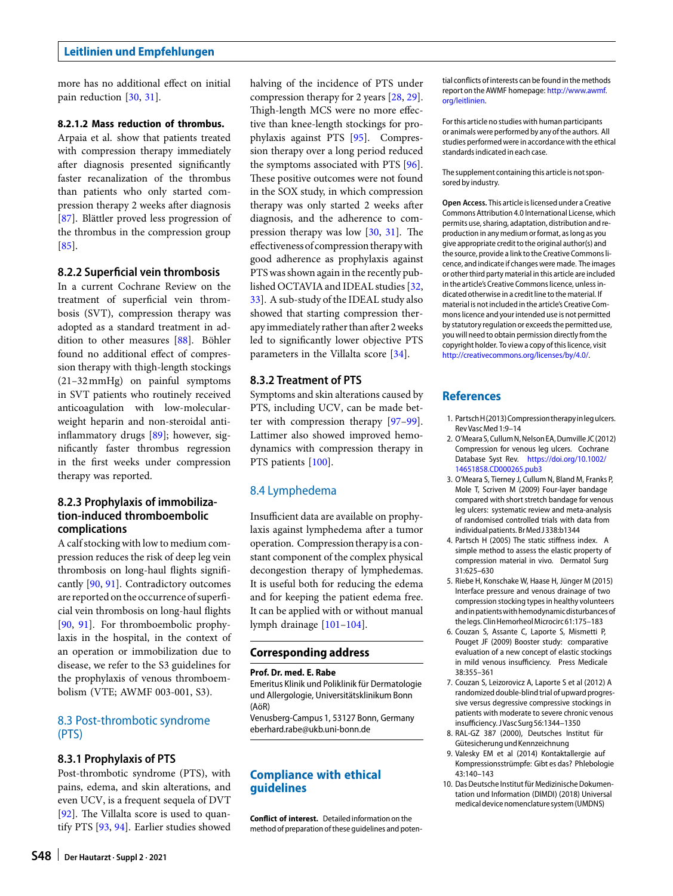more has no additional effect on initial pain reduction [\[30,](#page-12-17) [31\]](#page-12-18).

### **8.2.1.2 Mass reduction of thrombus.**

Arpaia et al. show that patients treated with compression therapy immediately afer diagnosis presented significantly faster recanalization of the thrombus than patients who only started compression therapy 2 weeks after diagnosis [\[87\]](#page-13-22). Blättler proved less progression of the thrombus in the compression group [\[85\]](#page-13-20).

### **8.2.2 Superficial vein thrombosis**

In a current Cochrane Review on the treatment of superficial vein thrombosis (SVT), compression therapy was adopted as a standard treatment in addition to other measures [\[88\]](#page-13-23). Böhler found no additional effect of compression therapy with thigh-length stockings (21–32mmHg) on painful symptoms in SVT patients who routinely received anticoagulation with low-molecularweight heparin and non-steroidal antiinflammatory drugs [\[89\]](#page-13-24); however, significantly faster thrombus regression in the first weeks under compression therapy was reported.

## **8.2.3 Prophylaxis of immobilization-induced thromboembolic complications**

A calf stocking with low to medium compression reduces the risk of deep leg vein thrombosis on long-haul flights significantly [\[90,](#page-13-25) [91\]](#page-13-26). Contradictory outcomes are reported on the occurrence of superficial vein thrombosis on long-haul flights [\[90,](#page-13-25) [91\]](#page-13-26). For thromboembolic prophylaxis in the hospital, in the context of an operation or immobilization due to disease, we refer to the S3 guidelines for the prophylaxis of venous thromboembolism (VTE; AWMF 003-001, S3).

## 8.3 Post-thrombotic syndrome (PTS)

### **8.3.1 Prophylaxis of PTS**

Post-thrombotic syndrome (PTS), with pains, edema, and skin alterations, and even UCV, is a frequent sequela of DVT [\[92\]](#page-13-27). The Villalta score is used to quantify PTS [\[93,](#page-13-28) [94\]](#page-13-29). Earlier studies showed

halving of the incidence of PTS under compression therapy for 2 years [\[28,](#page-12-15) [29\]](#page-12-16). Thigh-length MCS were no more effective than knee-length stockings for prophylaxis against PTS [\[95\]](#page-13-30). Compression therapy over a long period reduced the symptoms associated with PTS [\[96\]](#page-13-31). These positive outcomes were not found in the SOX study, in which compression therapy was only started 2 weeks after diagnosis, and the adherence to compression therapy was low  $[30, 31]$  $[30, 31]$  $[30, 31]$ . The effectiveness of compression therapywith good adherence as prophylaxis against PTSwas shown again in the recently published OCTAVIA and IDEAL studies [\[32,](#page-12-19) [33\]](#page-12-20). A sub-study of the IDEAL study also showed that starting compression therapy immediately rather than after 2 weeks led to significantly lower objective PTS parameters in the Villalta score [\[34\]](#page-12-21).

### **8.3.2 Treatment of PTS**

Symptoms and skin alterations caused by PTS, including UCV, can be made better with compression therapy [\[97–](#page-13-32)[99\]](#page-13-33). Lattimer also showed improved hemodynamics with compression therapy in PTS patients [\[100\]](#page-13-34).

## 8.4 Lymphedema

Insufficient data are available on prophylaxis against lymphedema after a tumor operation. Compression therapyis a constant component of the complex physical decongestion therapy of lymphedemas. It is useful both for reducing the edema and for keeping the patient edema free. It can be applied with or without manual lymph drainage [\[101–](#page-13-35)[104\]](#page-13-36).

## **Corresponding address**

#### **Prof. Dr. med. E. Rabe**

Emeritus Klinik und Poliklinik für Dermatologie und Allergologie, Universitätsklinikum Bonn (AöR) Venusberg-Campus 1, 53127 Bonn, Germany

eberhard.rabe@ukb.uni-bonn.de

# **Compliance with ethical guidelines**

**Conflict of interest.** Detailed information on the method of preparation of these guidelines and potential conflicts of interests can be found in the methods report on the AWMF homepage: [http://www.awmf.](http://www.awmf.org/leitlinien) [org/leitlinien.](http://www.awmf.org/leitlinien)

For this article no studies with human participants or animals were performed by any of the authors. All studies performed were in accordance with the ethical standards indicated in each case.

The supplement containing this article is not sponsored by industry.

**Open Access.** This article is licensed under a Creative Commons Attribution 4.0 International License, which permits use, sharing, adaptation, distribution and reproduction in any medium or format, as long as you give appropriate credit to the original author(s) and the source, provide a link to the Creative Commons licence, and indicate if changes were made. The images or other third party material in this article are included in the article's Creative Commons licence, unless indicated otherwise in a credit line to the material. If material is not included in the article's Creative Commons licence and your intended use is not permitted by statutory regulation or exceeds the permitted use, you will need to obtain permission directly from the copyright holder. To view a copy of this licence, visit [http://creativecommons.org/licenses/by/4.0/.](http://creativecommons.org/licenses/by/4.0/)

### **References**

- <span id="page-11-0"></span>1. Partsch H(2013) Compression therapy in legulcers. Rev VascMed1:9–14
- 2. O'Meara S, Cullum N, Nelson EA, Dumville JC (2012) Compression for venous leg ulcers. Cochrane Database Syst Rev. [https://doi.org/10.1002/](https://doi.org/10.1002/14651858.CD000265.pub3) [14651858.CD000265.pub3](https://doi.org/10.1002/14651858.CD000265.pub3)
- <span id="page-11-1"></span>3. O'Meara S, Tierney J, Cullum N, Bland M, Franks P, Mole T, Scriven M (2009) Four-layer bandage compared with short stretch bandage for venous leg ulcers: systematic review and meta-analysis of randomised controlled trials with data from individual patients. BrMed J338:b1344
- <span id="page-11-2"></span>4. Partsch H (2005) The static stiffness index. A simple method to assess the elastic property of compression material in vivo. Dermatol Surg 31:625–630
- <span id="page-11-4"></span>5. Riebe H, Konschake W, Haase H, Jünger M (2015) Interface pressure and venous drainage of two compression stocking types in healthy volunteers andinpatientswithhemodynamicdisturbancesof the legs. Clin Hemorheol Microcirc 61:175-183
- <span id="page-11-8"></span>6. Couzan S, Assante C, Laporte S, Mismetti P, Pouget JF (2009) Booster study: comparative evaluation of a new concept of elastic stockings in mild venous insufficiency. Press Medicale 38:355–361
- <span id="page-11-5"></span>7. Couzan S, Leizorovicz A, Laporte S et al (2012) A randomized double-blind trial of upward progressive versus degressive compressive stockings in patients with moderate to severe chronic venous insufficiency. J Vasc Surg 56:1344-1350
- <span id="page-11-3"></span>8. RAL-GZ 387 (2000), Deutsches Institut für Gütesicherung und Kennzeichnung
- <span id="page-11-6"></span>9. Valesky EM et al (2014) Kontaktallergie auf Kompressionsstrümpfe: Gibt es das? Phlebologie 43:140–143
- <span id="page-11-7"></span>10. Das Deutsche Institut für Medizinische Dokumentation und Information (DIMDI) (2018) Universal medical device nomenclature system(UMDNS)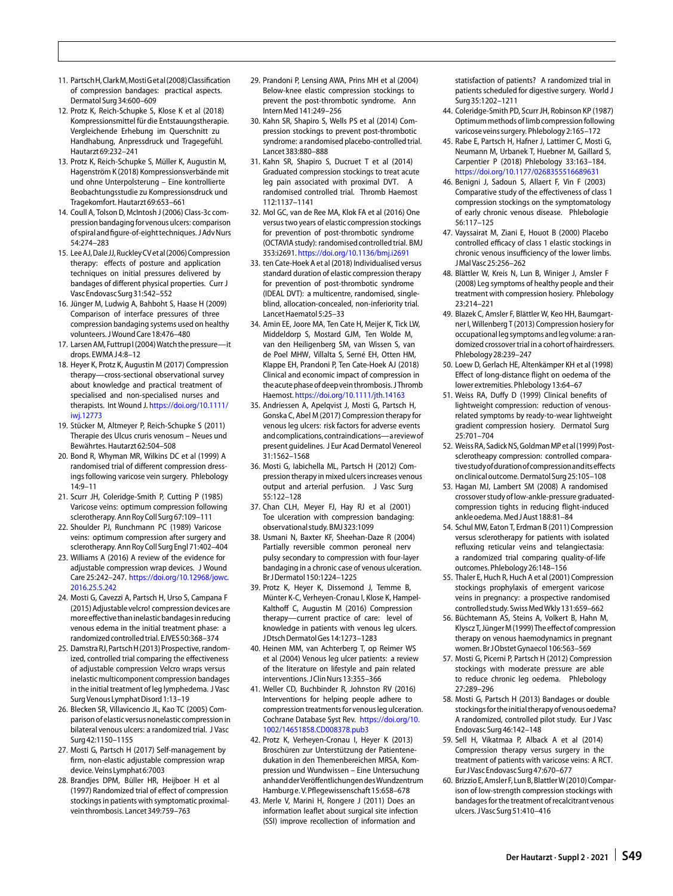- <span id="page-12-0"></span>11. PartschH,ClarkM,MostiGetal(2008)Classification of compression bandages: practical aspects. Dermatol Surg34:600–609
- <span id="page-12-1"></span>12. Protz K, Reich-Schupke S, Klose K et al (2018) Kompressionsmittel für die Entstauungstherapie. Vergleichende Erhebung im Querschnitt zu Handhabung, Anpressdruck und Tragegefühl. Hautarzt69:232–241
- <span id="page-12-2"></span>13. Protz K, Reich-Schupke S, Müller K, Augustin M, Hagenström K (2018) Kompressionsverbände mit und ohne Unterpolsterung – Eine kontrollierte Beobachtungsstudie zu Kompressionsdruck und Tragekomfort. Hautarzt69:653–661
- <span id="page-12-3"></span>14. Coull A, Tolson D, McIntosh J (2006) Class-3c compression bandaging for venous ulcers: comparison of spiral and figure-of-eight techniques. J Adv Nurs 54:274–283
- <span id="page-12-4"></span>15. Lee AJ, Dale JJ, Ruckley CV et al (2006) Compression therapy: effects of posture and application techniques on initial pressures delivered by bandages of different physical properties. Curr J VascEndovascSurg31:542–552
- <span id="page-12-5"></span>16. Jünger M, Ludwig A, Bahboht S, Haase H (2009) Comparison of interface pressures of three compression bandaging systems used on healthy volunteers. J Wound Care 18:476-480
- <span id="page-12-6"></span>17. Larsen AM, Futtrup I (2004) Watch the pressure-it drops. EWMA J4:8–12
- <span id="page-12-7"></span>18. Heyer K, Protz K, Augustin M (2017) Compression therapy—cross-sectional observational survey about knowledge and practical treatment of specialised and non-specialised nurses and therapists. Int Wound J. [https://doi.org/10.1111/](https://doi.org/10.1111/iwj.12773) iwi.12773
- <span id="page-12-8"></span>19. Stücker M, Altmeyer P, Reich-Schupke S (2011) Therapie des Ulcus cruris venosum – Neues und Bewährtes. Hautarzt62:504–508
- <span id="page-12-9"></span>20. Bond R, Whyman MR, Wilkins DC et al (1999) A randomised trial of different compression dressings following varicose vein surgery. Phlebology 14:9–11
- 21. Scurr JH, Coleridge-Smith P, Cutting P (1985) Varicose veins: optimum compression following sclerotherapy. Ann Roy Coll Surg67:109–111
- <span id="page-12-10"></span>22. Shoulder PJ, Runchmann PC (1989) Varicose veins: optimum compression after surgery and sclerotherapy. Ann Roy Coll SurgEngl71:402–404
- <span id="page-12-11"></span>23. Williams A (2016) A review of the evidence for adjustable compression wrap devices. J Wound Care 25:242–247. [https://doi.org/10.12968/jowc.](https://doi.org/10.12968/jowc.2016.25.5.242) [2016.25.5.242](https://doi.org/10.12968/jowc.2016.25.5.242)
- <span id="page-12-12"></span>24. Mosti G, Cavezzi A, Partsch H, Urso S, Campana F (2015) Adjustable velcro! compression devices are more effective than inelastic bandages in reducing venous edema in the initial treatment phase: a randomized controlled trial. EJVES 50:368–374
- 25. Damstra RJ,PartschH(2013)Prospective, randomized, controlled trial comparing the effectiveness of adjustable compression Velcro wraps versus inelastic multicomponent compression bandages in the initial treatment of leg lymphedema. J Vasc Surg Venous Lymphat Disord 1:13-19
- <span id="page-12-13"></span>26. Blecken SR, Villavicencio JL, Kao TC (2005) Comparison of elastic versus nonelastic compression in bilateral venous ulcers: a randomized trial. J Vasc Surg42:1150–1155
- <span id="page-12-14"></span>27. Mosti G, Partsch H (2017) Self-management by firm, non-elastic adjustable compression wrap device. Veins Lymphat 6:7003
- <span id="page-12-15"></span>28. Brandjes DPM, Büller HR, Heijboer H et al (1997) Randomized trial of effect of compression stockings in patients with symptomatic proximalvein thrombosis. Lancet 349:759-763
- <span id="page-12-16"></span>29. Prandoni P, Lensing AWA, Prins MH et al (2004) Below-knee elastic compression stockings to prevent the post-thrombotic syndrome. Ann InternMed141:249–256
- <span id="page-12-17"></span>30. Kahn SR, Shapiro S, Wells PS et al (2014) Compression stockings to prevent post-thrombotic syndrome: a randomised placebo-controlled trial. Lancet383:880–888
- <span id="page-12-18"></span>31. Kahn SR, Shapiro S, Ducruet T et al (2014) Graduated compression stockings to treat acute leg pain associated with proximal DVT. A randomised controlled trial. Thromb Haemost 112:1137–1141
- <span id="page-12-19"></span>32. Mol GC, van de Ree MA, Klok FA et al (2016) One versus two years of elastic compression stockings for prevention of post-thrombotic syndrome (OCTAVIA study): randomised controlled trial. BMJ 353:i2691. <https://doi.org/10.1136/bmj.i2691>
- <span id="page-12-20"></span>33. ten Cate-Hoek A et al (2018) Individualised versus standard duration of elastic compression therapy for prevention of post-thrombotic syndrome (IDEAL DVT): a multicentre, randomised, singleblind, allocation-concealed, non-inferiority trial. Lancet Haematol 5:25-33
- <span id="page-12-21"></span>34. Amin EE, Joore MA, Ten Cate H, Meijer K, Tick LW, Middeldorp S, Mostard GJM, Ten Wolde M, van den Heiligenberg SM, van Wissen S, van de Poel MHW, Villalta S, Serné EH, Otten HM, Klappe EH, Prandoni P, Ten Cate-Hoek AJ (2018) Clinical and economic impact of compression in the acute phaseof deepvein thrombosis. JThromb Haemost. <https://doi.org/10.1111/jth.14163>
- <span id="page-12-22"></span>35. Andriessen A, Apelqvist J, Mosti G, Partsch H, Gonska C, Abel M (2017) Compression therapy for venous leg ulcers: risk factors for adverse events andcomplications,contraindications—a reviewof present guidelines. J Eur Acad Dermatol Venereol 31:1562–1568
- <span id="page-12-23"></span>36. Mosti G, Iabichella ML, Partsch H (2012) Compression therapy in mixed ulcers increases venous output and arterial perfusion. J Vasc Surg 55:122–128
- <span id="page-12-24"></span>37. Chan CLH, Meyer FJ, Hay RJ et al (2001) Toe ulceration with compression bandaging: observational study. BMJ323:1099
- <span id="page-12-25"></span>38. Usmani N, Baxter KF, Sheehan-Daze R (2004) Partially reversible common peroneal nerv pulsy secondary to compression with four-layer bandaging in a chronic case of venous ulceration. Br JDermatol150:1224–1225
- <span id="page-12-26"></span>39. Protz K, Heyer K, Dissemond J, Temme B, Münter K-C, Verheyen-Cronau I, Klose K, Hampel-Kalthoff C, Augustin M (2016) Compression therapy—current practice of care: level of knowledge in patients with venous leg ulcers. JDtschDermatolGes14:1273–1283
- <span id="page-12-27"></span>40. Heinen MM, van Achterberg T, op Reimer WS et al (2004) Venous leg ulcer patients: a review of the literature on lifestyle and pain related interventions. J Clin Nurs 13:355-366
- <span id="page-12-28"></span>41. Weller CD, Buchbinder R, Johnston RV (2016) Interventions for helping people adhere to compression treatments for venous leg ulceration. Cochrane Database Syst Rev. [https://doi.org/10.](https://doi.org/10.1002/14651858.CD008378.pub3) [1002/14651858.CD008378.pub3](https://doi.org/10.1002/14651858.CD008378.pub3)
- <span id="page-12-29"></span>42. Protz K, Verheyen-Cronau I, Heyer K (2013) Broschüren zur Unterstützung der Patientenedukation in den Themenbereichen MRSA, Kompression und Wundwissen – Eine Untersuchung anhandderVeröffentlichungendesWundzentrum Hamburge. V. Pflegewissenschaft 15:658-678
- <span id="page-12-30"></span>43. Merle V, Marini H, Rongere J (2011) Does an information leaflet about surgical site infection (SSI) improve recollection of information and

statisfaction of patients? A randomized trial in patients scheduled for digestive surgery. World J Surg35:1202–1211

- <span id="page-12-31"></span>44. Coleridge-Smith PD, Scurr JH, Robinson KP (1987) Optimum methods of limb compression following varicose veins surgery. Phlebology2:165–172
- <span id="page-12-32"></span>45. Rabe E, Partsch H, Hafner J, Lattimer C, Mosti G, Neumann M, Urbanek T, Huebner M, Gaillard S, Carpentier P (2018) Phlebology 33:163–184. <https://doi.org/10.1177/0268355516689631>
- <span id="page-12-33"></span>46. Benigni J, Sadoun S, Allaert F, Vin F (2003) Comparative study of the effectiveness of class 1 compression stockings on the symptomatology of early chronic venous disease. Phlebologie 56:117–125
- <span id="page-12-34"></span>47. Vayssairat M, Ziani E, Houot B (2000) Placebo controlled efficacy of class 1 elastic stockings in chronic venous insufficiency of the lower limbs. JMal Vasc25:256–262
- <span id="page-12-35"></span>48. Blättler W, Kreis N, Lun B, Winiger J, Amsler F (2008) Leg symptoms of healthy people and their treatment with compression hosiery. Phlebology 23:214–221
- <span id="page-12-36"></span>49. Blazek C, Amsler F, Blättler W, Keo HH, Baumgartner I, Willenberg T(2013) Compression hosiery for occupational leg symptoms and leg volume: a randomized crossover trial in a cohort of hairdressers. Phlebology28:239–247
- <span id="page-12-37"></span>50. Loew D, Gerlach HE, Altenkämper KH et al (1998) Effect of long-distance flight on oedema of the lower extremities. Phlebology 13:64-67
- <span id="page-12-38"></span>51. Weiss RA, Duffy D (1999) Clinical benefits of lightweight compression: reduction of venousrelated symptoms by ready-to-wear lightweight gradient compression hosiery. Dermatol Surg 25:701–704
- <span id="page-12-39"></span>52. Weiss RA, Sadick NS, Goldman MP et al (1999) Postsclerotheapy compression: controlled comparativestudyofdurationofcompressionanditseffects on clinical outcome. Dermatol Surg 25:105-108
- <span id="page-12-40"></span>53. Hagan MJ, Lambert SM (2008) A randomised crossover study of low-ankle-pressure graduatedcompression tights in reducing flight-induced ankle oedema. Med J Aust 188:81-84
- <span id="page-12-41"></span>54. Schul MW, Eaton T, Erdman B (2011) Compression versus sclerotherapy for patients with isolated refluxing reticular veins and telangiectasia: a randomized trial comparing quality-of-life outcomes. Phlebology26:148–156
- <span id="page-12-42"></span>55. Thaler E, Huch R, Huch A et al (2001) Compression stockings prophylaxis of emergent varicose veins in pregnancy: a prospective randomised controlled study. Swiss Med Wkly 131:659-662
- <span id="page-12-43"></span>56. Büchtemann AS, Steins A, Volkert B, Hahn M, Klyscz T, JüngerM(1999)The effectof compression therapy on venous haemodynamics in pregnant women. Br J Obstet Gynaecol 106:563-569
- <span id="page-12-44"></span>57. Mosti G, Picerni P, Partsch H (2012) Compression stockings with moderate pressure are able to reduce chronic leg oedema. Phlebology 27:289–296
- <span id="page-12-45"></span>58. Mosti G, Partsch H (2013) Bandages or double stockings for the initial therapy of venous oedema? A randomized, controlled pilot study. Eur J Vasc EndovascSurg46:142–148
- <span id="page-12-46"></span>59. Sell H, Vikatmaa P, Alback A et al (2014) Compression therapy versus surgery in the treatment of patients with varicose veins: A RCT. Eur J VascEndovascSurg47:670–677
- <span id="page-12-47"></span>60. BrizzioE, Amsler F, Lun B, BlattlerW(2010) Comparison of low-strength compression stockings with bandages for the treatment of recalcitrant venous ulcers. J Vasc Surg 51:410-416